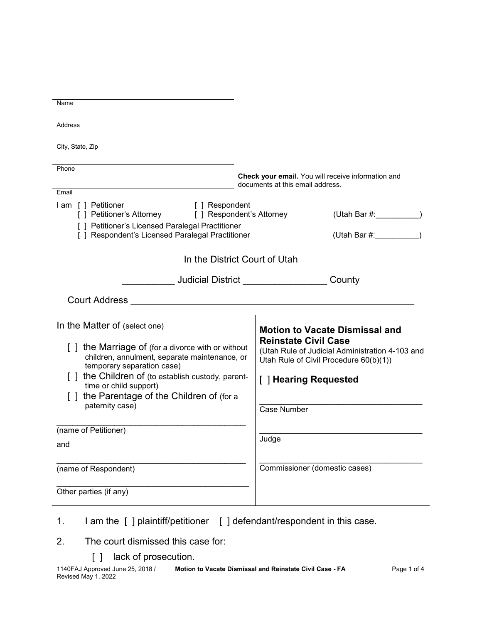| Name                                                                                                                                                |                                                                                                                          |
|-----------------------------------------------------------------------------------------------------------------------------------------------------|--------------------------------------------------------------------------------------------------------------------------|
| Address                                                                                                                                             |                                                                                                                          |
| City, State, Zip                                                                                                                                    |                                                                                                                          |
|                                                                                                                                                     |                                                                                                                          |
| Phone                                                                                                                                               | Check your email. You will receive information and                                                                       |
| Email                                                                                                                                               | documents at this email address.                                                                                         |
| I am [ ] Petitioner<br>[ ] Respondent<br>[ ] Petitioner's Attorney<br>[ ] Respondent's Attorney<br>[ ] Petitioner's Licensed Paralegal Practitioner | (Utah Bar #: __________)                                                                                                 |
| [ ] Respondent's Licensed Paralegal Practitioner                                                                                                    | (Utah Bar $#$ :                                                                                                          |
| In the District Court of Utah                                                                                                                       |                                                                                                                          |
| <u>Judicial District________________</u>                                                                                                            | County                                                                                                                   |
|                                                                                                                                                     |                                                                                                                          |
|                                                                                                                                                     |                                                                                                                          |
| In the Matter of (select one)                                                                                                                       | <b>Motion to Vacate Dismissal and</b>                                                                                    |
| [] the Marriage of (for a divorce with or without<br>children, annulment, separate maintenance, or                                                  | <b>Reinstate Civil Case</b><br>(Utah Rule of Judicial Administration 4-103 and<br>Utah Rule of Civil Procedure 60(b)(1)) |
| temporary separation case)<br>[ ] the Children of (to establish custody, parent-                                                                    | [ ] Hearing Requested                                                                                                    |
| time or child support)<br>the Parentage of the Children of (for a                                                                                   |                                                                                                                          |
| paternity case)                                                                                                                                     | Case Number                                                                                                              |
| (name of Petitioner)                                                                                                                                |                                                                                                                          |
| and                                                                                                                                                 | Judge                                                                                                                    |
| (name of Respondent)                                                                                                                                | Commissioner (domestic cases)                                                                                            |
| Other parties (if any)                                                                                                                              |                                                                                                                          |

- 2. The court dismissed this case for:
	- [ ] lack of prosecution.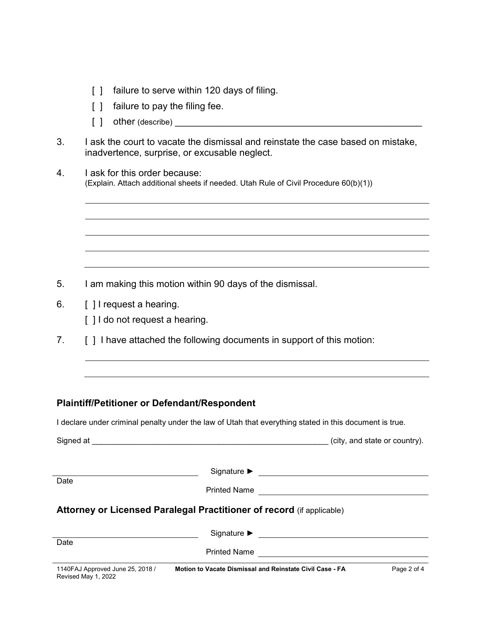- [ ] failure to serve within 120 days of filing.
- [ ] failure to pay the filing fee.
- $\begin{bmatrix} \ \ \end{bmatrix}$  other (describe)
- 3. I ask the court to vacate the dismissal and reinstate the case based on mistake, inadvertence, surprise, or excusable neglect.
- 4. I ask for this order because: (Explain. Attach additional sheets if needed. Utah Rule of Civil Procedure 60(b)(1))

- 5. I am making this motion within 90 days of the dismissal.
- 6. **[ ] I request a hearing.** 
	- [ ] I do not request a hearing.
- 7. [ ] I have attached the following documents in support of this motion:

### **Plaintiff/Petitioner or Defendant/Respondent**

I declare under criminal penalty under the law of Utah that everything stated in this document is true.

| Signed at                                               |                                                                       | (city, and state or country). |
|---------------------------------------------------------|-----------------------------------------------------------------------|-------------------------------|
| Date                                                    | Signature $\blacktriangleright$                                       |                               |
|                                                         | <b>Printed Name</b>                                                   |                               |
|                                                         | Attorney or Licensed Paralegal Practitioner of record (if applicable) |                               |
|                                                         | Signature $\blacktriangleright$                                       |                               |
| Date                                                    |                                                                       |                               |
|                                                         | <b>Printed Name</b>                                                   |                               |
| 1140FAJ Approved June 25, 2018 /<br>Revised May 1, 2022 | Motion to Vacate Dismissal and Reinstate Civil Case - FA              | Page 2 of 4                   |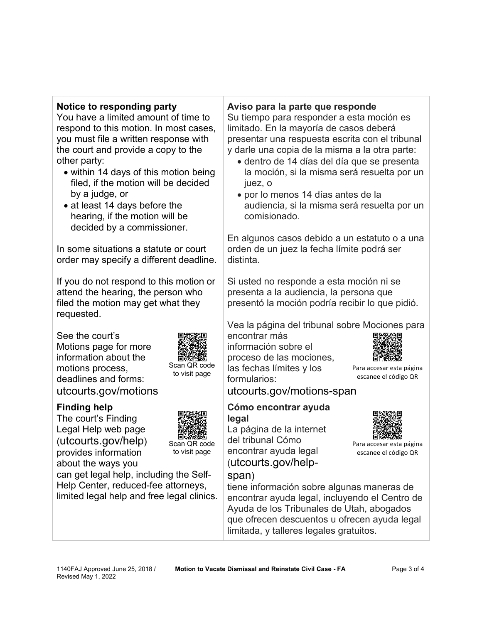## **Notice to responding party**

You have a limited amount of time to respond to this motion. In most cases, you must file a written response with the court and provide a copy to the other party:

- within 14 days of this motion being filed, if the motion will be decided by a judge, or
- at least 14 days before the hearing, if the motion will be decided by a commissioner.

In some situations a statute or court order may specify a different deadline.

If you do not respond to this motion or attend the hearing, the person who filed the motion may get what they requested.

See the court's Motions page for more information about the motions process, deadlines and forms: utcourts.gov/motions



Revised May 1, 2022

The court's Finding Legal Help web page (utcourts.gov/help) provides information about the ways you



Scan QR code to visit page

Scan QR code to visit page

can get legal help, including the Self-Help Center, reduced-fee attorneys, limited legal help and free legal clinics.

# **Aviso para la parte que responde**

Su tiempo para responder a esta moción es limitado. En la mayoría de casos deberá presentar una respuesta escrita con el tribunal y darle una copia de la misma a la otra parte:

- dentro de 14 días del día que se presenta la moción, si la misma será resuelta por un juez, o
- por lo menos 14 días antes de la audiencia, si la misma será resuelta por un comisionado.

En algunos casos debido a un estatuto o a una orden de un juez la fecha límite podrá ser distinta.

Si usted no responde a esta moción ni se presenta a la audiencia, la persona que presentó la moción podría recibir lo que pidió.

Vea la página del tribunal sobre Mociones para

encontrar más información sobre el proceso de las mociones, las fechas límites y los formularios:



Para accesar esta página escanee el código QR

Para accesar esta página escanee el código QR

utcourts.gov/motions-span

### **Cómo encontrar ayuda legal**

La página de la internet del tribunal Cómo encontrar ayuda legal (utcourts.gov/help-



tiene información sobre algunas maneras de encontrar ayuda legal, incluyendo el Centro de Ayuda de los Tribunales de Utah, abogados que ofrecen descuentos u ofrecen ayuda legal limitada, y talleres legales gratuitos.